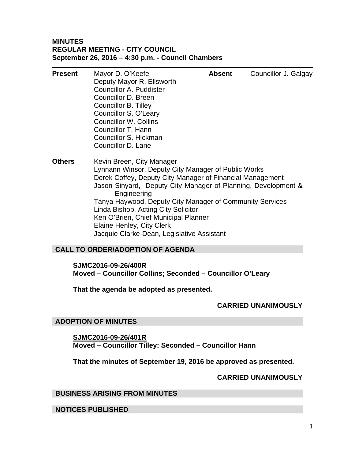# **MINUTES REGULAR MEETING - CITY COUNCIL September 26, 2016 – 4:30 p.m. - Council Chambers**

| <b>Present</b> | Mayor D. O'Keefe<br>Deputy Mayor R. Ellsworth<br>Councillor A. Puddister<br>Councillor D. Breen<br>Councillor B. Tilley<br>Councillor S. O'Leary<br><b>Councillor W. Collins</b><br>Councillor T. Hann<br>Councillor S. Hickman<br>Councillor D. Lane | <b>Absent</b> | Councillor J. Galgay |
|----------------|-------------------------------------------------------------------------------------------------------------------------------------------------------------------------------------------------------------------------------------------------------|---------------|----------------------|
| <b>Others</b>  | Kevin Breen, City Manager<br>Lynnann Winsor, Deputy City Manager of Public Works<br>Derek Coffey, Deputy City Manager of Financial Management<br>Jason Sinyard, Deputy City Manager of Planning, Development &<br>Engineering                         |               |                      |

Tanya Haywood, Deputy City Manager of Community Services Linda Bishop, Acting City Solicitor Ken O'Brien, Chief Municipal Planner Elaine Henley, City Clerk

Jacquie Clarke-Dean, Legislative Assistant

# **CALL TO ORDER/ADOPTION OF AGENDA**

**SJMC2016-09-26/400R** 

**Moved – Councillor Collins; Seconded – Councillor O'Leary** 

**That the agenda be adopted as presented.** 

# **CARRIED UNANIMOUSLY**

# **ADOPTION OF MINUTES**

**SJMC2016-09-26/401R Moved – Councillor Tilley: Seconded – Councillor Hann** 

**That the minutes of September 19, 2016 be approved as presented.** 

# **CARRIED UNANIMOUSLY**

# **BUSINESS ARISING FROM MINUTES**

**NOTICES PUBLISHED**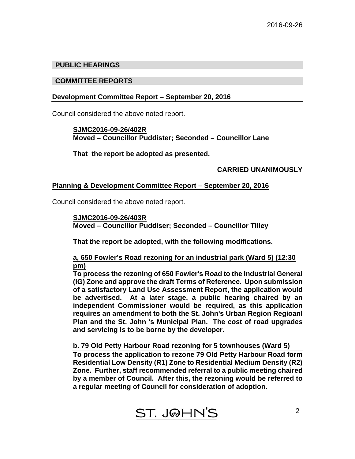# **PUBLIC HEARINGS**

## **COMMITTEE REPORTS**

## **Development Committee Report – September 20, 2016**

Council considered the above noted report.

## **SJMC2016-09-26/402R Moved – Councillor Puddister; Seconded – Councillor Lane**

 **That the report be adopted as presented.** 

# **CARRIED UNANIMOUSLY**

## **Planning & Development Committee Report – September 20, 2016**

Council considered the above noted report.

# **SJMC2016-09-26/403R**

 **Moved – Councillor Puddiser; Seconded – Councillor Tilley** 

**That the report be adopted, with the following modifications.** 

# **a, 650 Fowler's Road rezoning for an industrial park (Ward 5) (12:30 pm)**

**To process the rezoning of 650 Fowler's Road to the Industrial General (IG) Zone and approve the draft Terms of Reference. Upon submission of a satisfactory Land Use Assessment Report, the application would be advertised. At a later stage, a public hearing chaired by an independent Commissioner would be required, as this application requires an amendment to both the St. John's Urban Region Regioanl Plan and the St. John 's Municipal Plan. The cost of road upgrades and servicing is to be borne by the developer.** 

# **b. 79 Old Petty Harbour Road rezoning for 5 townhouses (Ward 5)**

**To process the application to rezone 79 Old Petty Harbour Road form Residential Low Density (R1) Zone to Residential Medium Density (R2) Zone. Further, staff recommended referral to a public meeting chaired by a member of Council. After this, the rezoning would be referred to a regular meeting of Council for consideration of adoption.**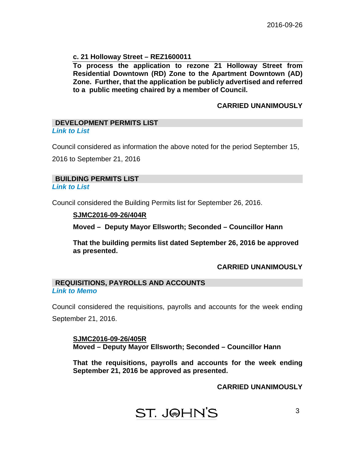## **c. 21 Holloway Street – REZ1600011**

**To process the application to rezone 21 Holloway Street from Residential Downtown (RD) Zone to the Apartment Downtown (AD) Zone. Further, that the application be publicly advertised and referred to a public meeting chaired by a member of Council.** 

## **CARRIED UNANIMOUSLY**

## **DEVELOPMENT PERMITS LIST**  *[Link to List](#page-7-0)*

Council considered as information the above noted for the period September 15, 2016 to September 21, 2016

# **BUILDING PERMITS LIST**

### *[Link to List](#page-8-0)*

Council considered the Building Permits list for September 26, 2016.

## **SJMC2016-09-26/404R**

**Moved – Deputy Mayor Ellsworth; Seconded – Councillor Hann** 

**That the building permits list dated September 26, 2016 be approved as presented.** 

## **CARRIED UNANIMOUSLY**

## **REQUISITIONS, PAYROLLS AND ACCOUNTS**  *[Link to Memo](#page-12-0)*

Council considered the requisitions, payrolls and accounts for the week ending September 21, 2016.

**SJMC2016-09-26/405R Moved – Deputy Mayor Ellsworth; Seconded – Councillor Hann** 

**That the requisitions, payrolls and accounts for the week ending September 21, 2016 be approved as presented.** 

 **CARRIED UNANIMOUSLY**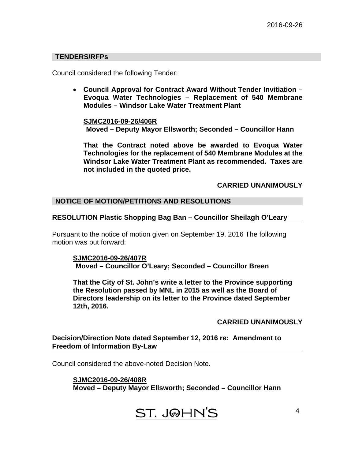## **TENDERS/RFPs**

Council considered the following Tender:

 **Council Approval for Contract Award Without Tender Invitiation – Evoqua Water Technologies – Replacement of 540 Membrane Modules – Windsor Lake Water Treatment Plant**

**SJMC2016-09-26/406R Moved – Deputy Mayor Ellsworth; Seconded – Councillor Hann**

**That the Contract noted above be awarded to Evoqua Water Technologies for the replacement of 540 Membrane Modules at the Windsor Lake Water Treatment Plant as recommended. Taxes are not included in the quoted price.** 

 **CARRIED UNANIMOUSLY** 

## **NOTICE OF MOTION/PETITIONS AND RESOLUTIONS**

### **RESOLUTION Plastic Shopping Bag Ban – Councillor Sheilagh O'Leary**

Pursuant to the notice of motion given on September 19, 2016 The following motion was put forward:

**SJMC2016-09-26/407R Moved – Councillor O'Leary; Seconded – Councillor Breen** 

**That the City of St. John's write a letter to the Province supporting the Resolution passed by MNL in 2015 as well as the Board of Directors leadership on its letter to the Province dated September 12th, 2016.**

### **CARRIED UNANIMOUSLY**

**Decision/Direction Note dated September 12, 2016 re: Amendment to Freedom of Information By-Law** 

Council considered the above-noted Decision Note.

**SJMC2016-09-26/408R Moved – Deputy Mayor Ellsworth; Seconded – Councillor Hann** 

**ST. J@HN'S**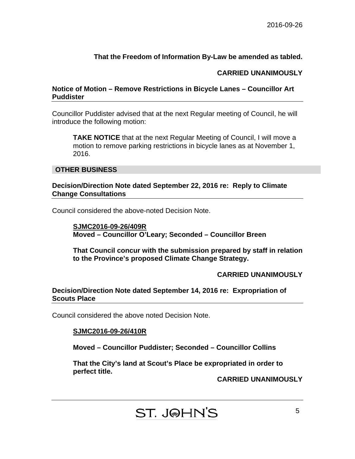# **That the Freedom of Information By-Law be amended as tabled.**

# **CARRIED UNANIMOUSLY**

# **Notice of Motion – Remove Restrictions in Bicycle Lanes – Councillor Art Puddister**

Councillor Puddister advised that at the next Regular meeting of Council, he will introduce the following motion:

**TAKE NOTICE** that at the next Regular Meeting of Council, I will move a motion to remove parking restrictions in bicycle lanes as at November 1, 2016.

# **OTHER BUSINESS**

## **Decision/Direction Note dated September 22, 2016 re: Reply to Climate Change Consultations**

Council considered the above-noted Decision Note.

**SJMC2016-09-26/409R Moved – Councillor O'Leary; Seconded – Councillor Breen** 

**That Council concur with the submission prepared by staff in relation to the Province's proposed Climate Change Strategy.** 

# **CARRIED UNANIMOUSLY**

# **Decision/Direction Note dated September 14, 2016 re: Expropriation of Scouts Place**

Council considered the above noted Decision Note.

# **SJMC2016-09-26/410R**

**Moved – Councillor Puddister; Seconded – Councillor Collins** 

**That the City's land at Scout's Place be expropriated in order to perfect title.**

**CARRIED UNANIMOUSLY** 

**ST. J@HN'S**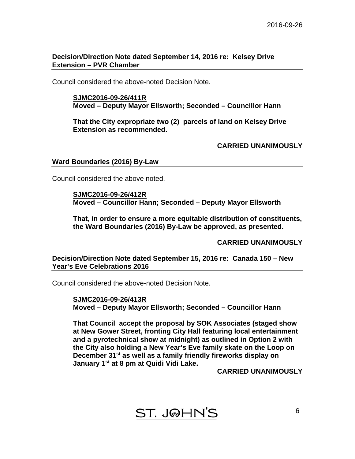# **Decision/Direction Note dated September 14, 2016 re: Kelsey Drive Extension – PVR Chamber**

Council considered the above-noted Decision Note.

## **SJMC2016-09-26/411R Moved – Deputy Mayor Ellsworth; Seconded – Councillor Hann**

**That the City expropriate two (2) parcels of land on Kelsey Drive Extension as recommended.** 

**CARRIED UNANIMOUSLY** 

## **Ward Boundaries (2016) By-Law**

Council considered the above noted.

**SJMC2016-09-26/412R Moved – Councillor Hann; Seconded – Deputy Mayor Ellsworth** 

**That, in order to ensure a more equitable distribution of constituents, the Ward Boundaries (2016) By-Law be approved, as presented.** 

**CARRIED UNANIMOUSLY** 

**Decision/Direction Note dated September 15, 2016 re: Canada 150 – New Year's Eve Celebrations 2016** 

Council considered the above-noted Decision Note.

**SJMC2016-09-26/413R Moved – Deputy Mayor Ellsworth; Seconded – Councillor Hann** 

**That Council accept the proposal by SOK Associates (staged show at New Gower Street, fronting City Hall featuring local entertainment and a pyrotechnical show at midnight) as outlined in Option 2 with the City also holding a New Year's Eve family skate on the Loop on December 31st as well as a family friendly fireworks display on January 1st at 8 pm at Quidi Vidi Lake.** 

**CARRIED UNANIMOUSLY**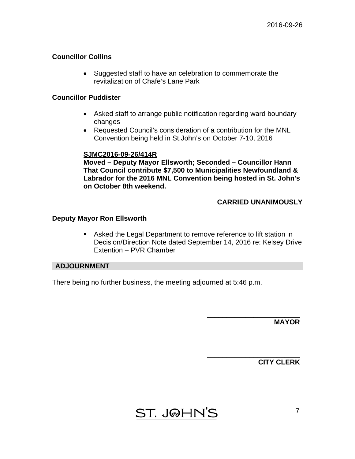# **Councillor Collins**

• Suggested staff to have an celebration to commemorate the revitalization of Chafe's Lane Park

## **Councillor Puddister**

- Asked staff to arrange public notification regarding ward boundary changes
- Requested Council's consideration of a contribution for the MNL Convention being held in St.John's on October 7-10, 2016

# **SJMC2016-09-26/414R**

**Moved – Deputy Mayor Ellsworth; Seconded – Councillor Hann That Council contribute \$7,500 to Municipalities Newfoundland & Labrador for the 2016 MNL Convention being hosted in St. John's on October 8th weekend.** 

# **CARRIED UNANIMOUSLY**

\_\_\_\_\_\_\_\_\_\_\_\_\_\_\_\_\_\_\_\_\_\_\_\_

\_\_\_\_\_\_\_\_\_\_\_\_\_\_\_\_\_\_\_\_\_\_\_\_

# **Deputy Mayor Ron Ellsworth**

 Asked the Legal Department to remove reference to lift station in Decision/Direction Note dated September 14, 2016 re: Kelsey Drive Extention – PVR Chamber

## **ADJOURNMENT**

There being no further business, the meeting adjourned at 5:46 p.m.

**MAYOR** 

**CITY CLERK** 

**ST. J@HN'S**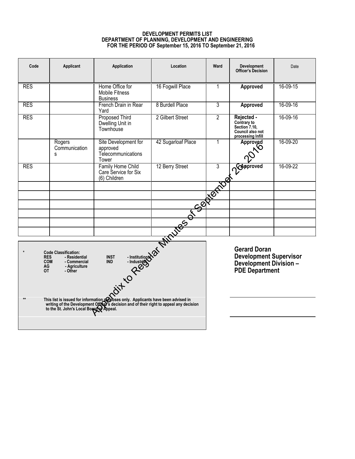## **DEVELOPMENT PERMITS LIST DEPARTMENT OF PLANNING, DEVELOPMENT AND ENGINEERING FOR THE PERIOD OF September 15, 2016 TO September 21, 2016**

<span id="page-7-0"></span>

| Code                                                                                                                                                                                                                                                                                                                                                                                   | Applicant                              | Application                                                     | Location           | Ward                                                                                                           | <b>Development</b><br>Officer's Decision                                            | Date           |
|----------------------------------------------------------------------------------------------------------------------------------------------------------------------------------------------------------------------------------------------------------------------------------------------------------------------------------------------------------------------------------------|----------------------------------------|-----------------------------------------------------------------|--------------------|----------------------------------------------------------------------------------------------------------------|-------------------------------------------------------------------------------------|----------------|
| <b>RES</b>                                                                                                                                                                                                                                                                                                                                                                             |                                        | Home Office for<br><b>Mobile Fitness</b><br><b>Business</b>     | 16 Fogwill Place   | 1                                                                                                              | Approved                                                                            | 16-09-15       |
| <b>RES</b>                                                                                                                                                                                                                                                                                                                                                                             |                                        | French Drain in Rear<br>Yard                                    | 8 Burdell Place    | 3                                                                                                              | <b>Approved</b>                                                                     | 16-09-16       |
| <b>RES</b>                                                                                                                                                                                                                                                                                                                                                                             |                                        | <b>Proposed Third</b><br>Dwelling Unit in<br>Townhouse          | 2 Gilbert Street   | $\overline{2}$                                                                                                 | Rejected -<br>Contrary to<br>Section 7.10,<br>Council also not<br>processing Infill | 16-09-16       |
|                                                                                                                                                                                                                                                                                                                                                                                        | Rogers<br>Communication<br>S           | Site Development for<br>approved<br>Telecommunications<br>Tower | 42 Sugarloaf Place | 1                                                                                                              | Approved                                                                            | 16-09-20       |
| <b>RES</b>                                                                                                                                                                                                                                                                                                                                                                             |                                        |                                                                 |                    |                                                                                                                | of Capproved                                                                        | $16 - 09 - 22$ |
|                                                                                                                                                                                                                                                                                                                                                                                        |                                        |                                                                 |                    |                                                                                                                |                                                                                     |                |
|                                                                                                                                                                                                                                                                                                                                                                                        |                                        |                                                                 |                    |                                                                                                                |                                                                                     |                |
|                                                                                                                                                                                                                                                                                                                                                                                        |                                        |                                                                 |                    |                                                                                                                |                                                                                     |                |
|                                                                                                                                                                                                                                                                                                                                                                                        |                                        |                                                                 |                    |                                                                                                                |                                                                                     |                |
|                                                                                                                                                                                                                                                                                                                                                                                        |                                        |                                                                 |                    |                                                                                                                |                                                                                     |                |
| Constitutional of Minutes of September 1<br>$\star$<br><b>Code Classification:</b><br><b>RES</b><br>- Residential<br><b>COM</b><br>- Commercial<br>AG<br>- Agriculture<br><b>OT</b><br>- Other<br>This list is issued for information probases only. Applicants have been advised in<br>writing of the Development Offtor's decision and of their right to appeal any decision<br>$**$ |                                        |                                                                 |                    | <b>Gerard Doran</b><br><b>Development Supervisor</b><br><b>Development Division -</b><br><b>PDE Department</b> |                                                                                     |                |
|                                                                                                                                                                                                                                                                                                                                                                                        | to the St. John's Local Board Pappeal. |                                                                 |                    |                                                                                                                |                                                                                     |                |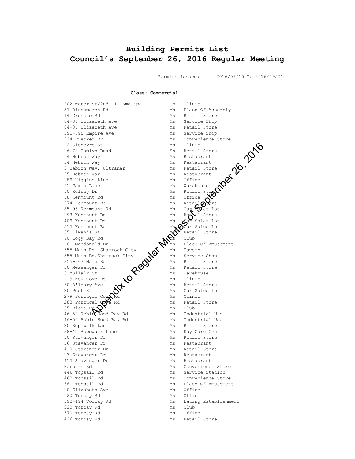# <span id="page-8-0"></span>**Building Permits List Council's September 26, 2016 Regular Meeting**

Permits Issued: 2016/09/15 To 2016/09/21

**Class: Commercial**

202 Water St/2nd Fl. Kmd Spa Co Clinic<br>57 Blackmarsh Rd Ms Place Of Assembly 57 Blackmarsh Rd Ms Place Of Assembly 44 Crosbie Rd Ms Retail Store 84-86 Elizabeth Ave Ms Service Shop 84-86 Elizabeth Ave Ms Retail Store 391-395 Empire Ave Ms Service Shop 324 Frecker Dr Ms Convenience Store 12 Gleneyre St Ms Clinic 16-72 Hamlyn Road Sn Retail Store 14 Hebron Way Michael Ms Restaurant 14 Hebron Way Michael Ms Restaurant 5 Hebron Way, Ultramar Ms Retail Store 25 Hebron Way Michael Michael Michael Michael Michael Michael Michael Michael Michael Michael Michael Michael 189 Higgins Line Ms Office 61 James Lane Ms Ms Warehouse 50 Kelsey Dr Ms Retail Store 58 Kenmount Rd Ms Office 274 Kenmount Rd  $MS$  Ms Retail  $\alpha$  ore 85-95 Kenmount Rd Ms Ms Car Soles Lot 193 Kenmount Rd Ms Retail Store 409 Kenmount Rd  $\epsilon$  Ms  $\epsilon$ ar Sales Lot 515 Kenmount Rd  $MS_{\bullet}Q$ Car Sales Lot 65 Kiwanis St Ms Museum Manus Retail Store 90 Logy Bay Rd  $\mathcal{N}$  Club 101 Macdonald Dr Ms Place Of Amusement 355 Main Rd. Shamrock City  $\bigwedge$  Ms Tavern 355 Main Rd.Shamrock City  $\mathbf{W}$  Ms Service Shop 355-367 Main Rd  $\bullet$  Ms Retail Store 10 Messenger Dr  $\mathcal{O}$  Ms Retail Store 6 Mullaly St  $\sum$  Ms Warehouse 119 New Cove Rd  $\star$   $\bullet$  Ms Clinic 60 O'leary Ave (1) Ms Retail Store 20 Peet St  $\mathbb{N}'$  Ms Car Sales Lot 279 Portugal Co $\boldsymbol{\mu}$ Rd Ms Clinic 283 Portugal **Cove** Rd Ms Retail Store 35 Ridge Rd  $\mathbb{O}^{\times}$  Ms Club 46-50 Robin Hood Bay Rd Ms Industrial Use 46-50 Robin Hood Bay Rd Ms Industrial Use 20 Ropewalk Lane Ms Retail Store 38-42 Ropewalk Lane Ms Ms Day Care Centre 10 Stavanger Dr Ms Retail Store 16 Stavanger Dr Ms Restaurant 410 Stavanger Dr Ms Retail Store 13 Stavanger Dr Ms Restaurant 415 Stavanger Dr Ms Restaurant Horburn Rd Ms Convenience Store 446 Topsail Rd Ms Service Station 462 Topsail Rd Ms Convenience Store 681 Topsail Rd Ms Place Of Amusement 10 Elizabeth Ave Ms Office 120 Torbay Rd<br>192-194 Torbay Rd<br>Ms Eating Ms Eating Establishment 320 Torbay Rd Ms Club 370 Torbay Rd Ms Office and the contract of the contract of the contract of the contract of the contract of the contract of the contra<br>Ms Retail Store Regular Minutes of Minutes of Minutes of Minutes of Minutes of Minutes of September 26, 2016<br>
Minutes of September 26, 2016<br>
The Minutes of September 26, 2016<br>
The Minutes of September 26, 2016<br>
The Minutes of September 26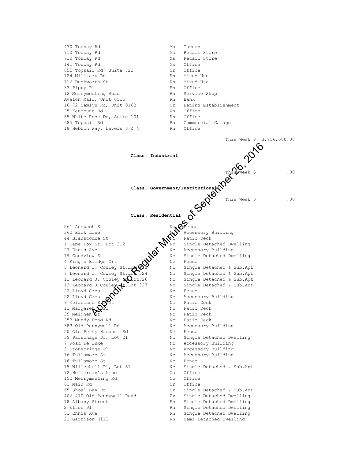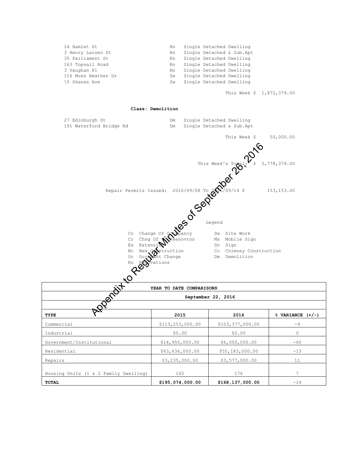| 14 Hamlet St        | Rn |                             | Single Detached Dwelling  |
|---------------------|----|-----------------------------|---------------------------|
| 3 Henry Larsen St   | Rn |                             | Single Detached & Sub.Apt |
| 35 Parliament St    | Rn | Single Detached Dwelling    |                           |
| 163 Topsail Road    |    | Rn Single Detached Dwelling |                           |
| 3 Vaughan Pl        | Rn |                             | Single Detached Dwelling  |
| 116 Moss Heather Dr | Sw | Single Detached Dwelling    |                           |
| \0 Skanes Ave       | Sw |                             | Single Detached Dwelling  |
|                     |    |                             |                           |

This Week \$ 1,872,379.00

#### **Class: Demolition**

|                              | 2015                                                                                                                                       | 2016                                        | % VARIAN |
|------------------------------|--------------------------------------------------------------------------------------------------------------------------------------------|---------------------------------------------|----------|
|                              |                                                                                                                                            |                                             |          |
| <b>ROTAL</b>                 |                                                                                                                                            | September 22, 2016                          |          |
|                              | YEAR TO DATE COMPARISONS                                                                                                                   |                                             |          |
| Q                            |                                                                                                                                            |                                             |          |
| $Q^{k}$                      |                                                                                                                                            |                                             |          |
| Rn                           | rations                                                                                                                                    |                                             |          |
| Nc<br>$\mathbb{O}\mathsf{C}$ | New Construction<br>Occupant Change                                                                                                        | Cc Chimney Construction<br>Demolition<br>Dm |          |
|                              |                                                                                                                                            |                                             |          |
|                              |                                                                                                                                            |                                             |          |
|                              |                                                                                                                                            |                                             |          |
|                              |                                                                                                                                            |                                             |          |
|                              |                                                                                                                                            |                                             |          |
|                              |                                                                                                                                            |                                             |          |
|                              | This Week's Tomas (2016/09/08 To 2020)<br>Repair Permits Issued: 2016/09/08 To 2020<br>Legend<br>Co Change of 2020<br>Ex Exter<br>Fx Exter |                                             |          |
|                              |                                                                                                                                            |                                             |          |
|                              |                                                                                                                                            |                                             |          |
|                              |                                                                                                                                            |                                             |          |
| 191 Waterford Bridge Rd      | Dm                                                                                                                                         | Single Detached & Sub.Apt                   |          |
| 27 Edinburgh St              | Dm                                                                                                                                         | Single Detached Dwelling                    |          |

| YEAR TO DATE COMPARISONS              |                    |                  |                      |  |  |  |
|---------------------------------------|--------------------|------------------|----------------------|--|--|--|
| oent<br>September 22, 2016            |                    |                  |                      |  |  |  |
|                                       |                    |                  |                      |  |  |  |
| TYPE                                  | 2015               | 2016             | $%$ VARIANCE $(+/-)$ |  |  |  |
| Commercial                            | \$113, 253, 000.00 | \$103,377,000.00 | $-9$                 |  |  |  |
| Industrial                            | \$0.00             | \$0.00           | $\Omega$             |  |  |  |
| Government/Institutional              | \$14,950,000.00    | \$6,000,000.00   | $-60$                |  |  |  |
| Residential                           | \$63,636,000.00    | \$55,183,000.00  | $-13$                |  |  |  |
| Repairs                               | \$3,235,000.00     | \$3,577,000.00   | 11                   |  |  |  |
| Housing Units (1 & 2 Family Dwelling) | 165                | 176              | 7                    |  |  |  |
| TOTAL                                 | \$195,074,000.00   | \$168,137,000.00 | $-14$                |  |  |  |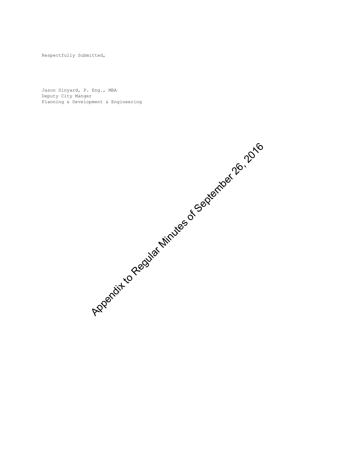Respectfully Submitted,

Jason Sinyard, P. Eng., MBA Deputy City Manger Planning & Development & Engineering

Appendix to Regular Minutes of September 26, 2016